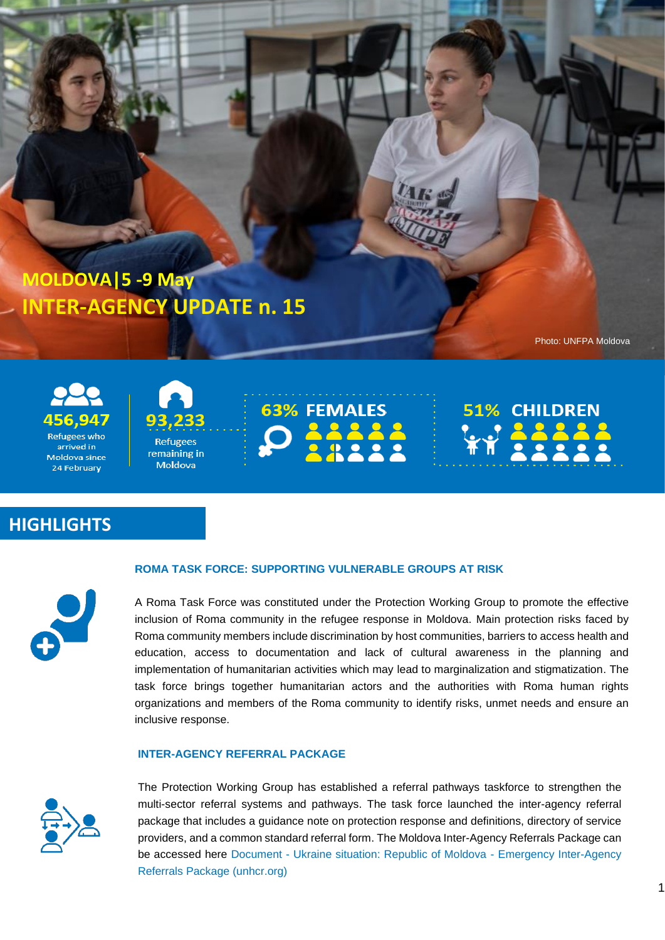**MOLDOVA|5 -9 May INTER-AGENCY UPDATE n. 15**

Photo: UNFPA Moldova





remaining in Moldova



**51% CHILDREN WY 22222** 

## **HIGHLIGHTS**



#### **ROMA TASK FORCE: SUPPORTING VULNERABLE GROUPS AT RISK**

A Roma Task Force was constituted under the Protection Working Group to promote the effective inclusion of Roma community in the refugee response in Moldova. Main protection risks faced by Roma community members include discrimination by host communities, barriers to access health and education, access to documentation and lack of cultural awareness in the planning and implementation of humanitarian activities which may lead to marginalization and stigmatization. The task force brings together humanitarian actors and the authorities with Roma human rights organizations and members of the Roma community to identify risks, unmet needs and ensure an inclusive response.

## **INTER-AGENCY REFERRAL PACKAGE**



The Protection Working Group has established a referral pathways taskforce to strengthen the multi-sector referral systems and pathways. The task force launched the inter-agency referral package that includes a guidance note on protection response and definitions, directory of service providers, and a common standard referral form. The Moldova Inter-Agency Referrals Package can be accessed here Document - [Ukraine situation: Republic of Moldova -](https://data2.unhcr.org/en/documents/details/92330) Emergency Inter-Agency [Referrals Package \(unhcr.org\)](https://data2.unhcr.org/en/documents/details/92330)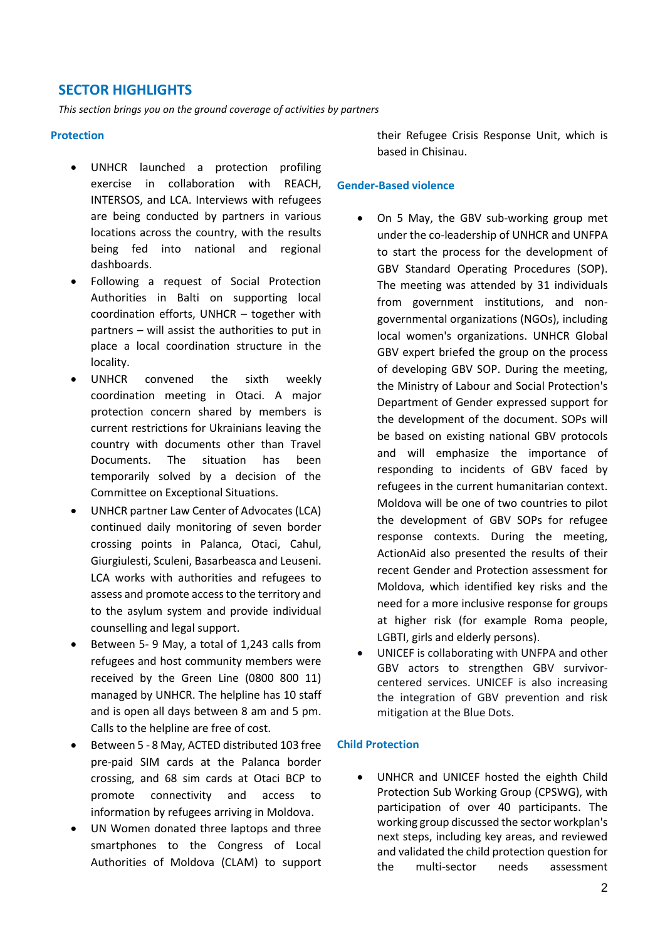## **SECTOR HIGHLIGHTS**

*This section brings you on the ground coverage of activities by partners*

#### **Protection**

- UNHCR launched a protection profiling exercise in collaboration with REACH, INTERSOS, and LCA. Interviews with refugees are being conducted by partners in various locations across the country, with the results being fed into national and regional dashboards.
- Following a request of Social Protection Authorities in Balti on supporting local coordination efforts, UNHCR – together with partners – will assist the authorities to put in place a local coordination structure in the locality.
- UNHCR convened the sixth weekly coordination meeting in Otaci. A major protection concern shared by members is current restrictions for Ukrainians leaving the country with documents other than Travel Documents. The situation has been temporarily solved by a decision of the Committee on Exceptional Situations.
- UNHCR partner Law Center of Advocates (LCA) continued daily monitoring of seven border crossing points in Palanca, Otaci, Cahul, Giurgiulesti, Sculeni, Basarbeasca and Leuseni. LCA works with authorities and refugees to assess and promote access to the territory and to the asylum system and provide individual counselling and legal support.
- Between 5- 9 May, a total of 1,243 calls from refugees and host community members were received by the Green Line (0800 800 11) managed by UNHCR. The helpline has 10 staff and is open all days between 8 am and 5 pm. Calls to the helpline are free of cost.
- Between 5 8 May, ACTED distributed 103 free pre-paid SIM cards at the Palanca border crossing, and 68 sim cards at Otaci BCP to promote connectivity and access to information by refugees arriving in Moldova.
- UN Women donated three laptops and three smartphones to the Congress of Local Authorities of Moldova (CLAM) to support

their Refugee Crisis Response Unit, which is based in Chisinau.

#### **Gender-Based violence**

- On 5 May, the GBV sub-working group met under the co-leadership of UNHCR and UNFPA to start the process for the development of GBV Standard Operating Procedures (SOP). The meeting was attended by 31 individuals from government institutions, and nongovernmental organizations (NGOs), including local women's organizations. UNHCR Global GBV expert briefed the group on the process of developing GBV SOP. During the meeting, the Ministry of Labour and Social Protection's Department of Gender expressed support for the development of the document. SOPs will be based on existing national GBV protocols and will emphasize the importance of responding to incidents of GBV faced by refugees in the current humanitarian context. Moldova will be one of two countries to pilot the development of GBV SOPs for refugee response contexts. During the meeting, ActionAid also presented the results of their recent Gender and Protection assessment for Moldova, which identified key risks and the need for a more inclusive response for groups at higher risk (for example Roma people, LGBTI, girls and elderly persons).
- UNICEF is collaborating with UNFPA and other GBV actors to strengthen GBV survivorcentered services. UNICEF is also increasing the integration of GBV prevention and risk mitigation at the Blue Dots.

#### **Child Protection**

• UNHCR and UNICEF hosted the eighth Child Protection Sub Working Group (CPSWG), with participation of over 40 participants. The working group discussed the sector workplan's next steps, including key areas, and reviewed and validated the child protection question for the multi-sector needs assessment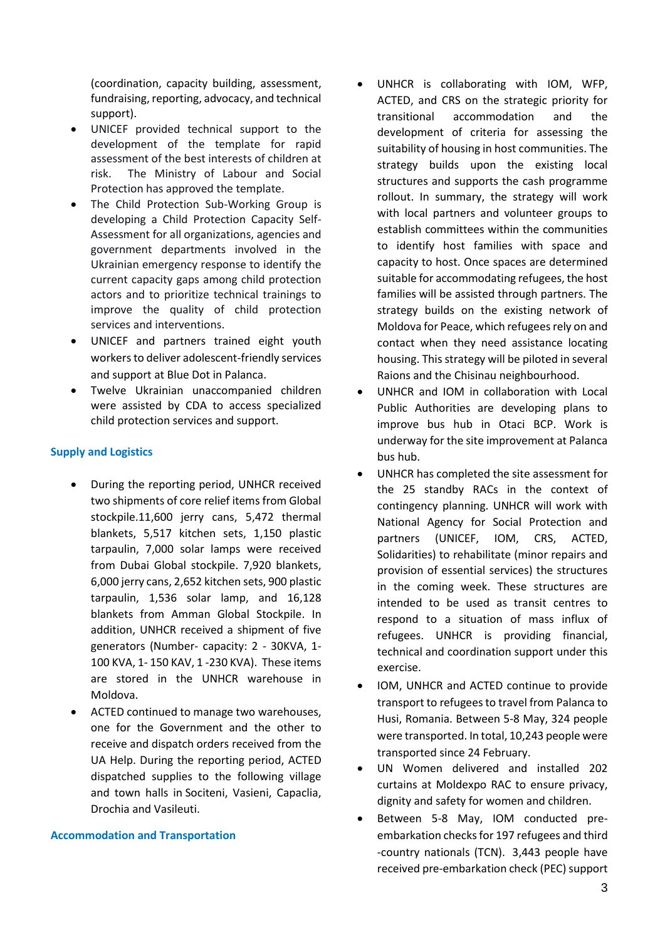(coordination, capacity building, assessment, fundraising, reporting, advocacy, and technical support).

- UNICEF provided technical support to the development of the template for rapid assessment of the best interests of children at risk. The Ministry of Labour and Social Protection has approved the template.
- The Child Protection Sub-Working Group is developing a Child Protection Capacity Self-Assessment for all organizations, agencies and government departments involved in the Ukrainian emergency response to identify the current capacity gaps among child protection actors and to prioritize technical trainings to improve the quality of child protection services and interventions.
- UNICEF and partners trained eight youth workers to deliver adolescent-friendly services and support at Blue Dot in Palanca.
- Twelve Ukrainian unaccompanied children were assisted by CDA to access specialized child protection services and support.

## **Supply and Logistics**

- During the reporting period, UNHCR received two shipments of core relief items from Global stockpile.11,600 jerry cans, 5,472 thermal blankets, 5,517 kitchen sets, 1,150 plastic tarpaulin, 7,000 solar lamps were received from Dubai Global stockpile. 7,920 blankets, 6,000 jerry cans, 2,652 kitchen sets, 900 plastic tarpaulin, 1,536 solar lamp, and 16,128 blankets from Amman Global Stockpile. In addition, UNHCR received a shipment of five generators (Number- capacity: 2 - 30KVA, 1- 100 KVA, 1- 150 KAV, 1 -230 KVA). These items are stored in the UNHCR warehouse in Moldova.
- ACTED continued to manage two warehouses, one for the Government and the other to receive and dispatch orders received from the UA Help. During the reporting period, ACTED dispatched supplies to the following village and town halls in Sociteni, Vasieni, Capaclia, Drochia and Vasileuti.

#### **Accommodation and Transportation**

- UNHCR is collaborating with IOM, WFP, ACTED, and CRS on the strategic priority for transitional accommodation and the development of criteria for assessing the suitability of housing in host communities. The strategy builds upon the existing local structures and supports the cash programme rollout. In summary, the strategy will work with local partners and volunteer groups to establish committees within the communities to identify host families with space and capacity to host. Once spaces are determined suitable for accommodating refugees, the host families will be assisted through partners. The strategy builds on the existing network of Moldova for Peace, which refugees rely on and contact when they need assistance locating housing. This strategy will be piloted in several Raions and the Chisinau neighbourhood.
- UNHCR and IOM in collaboration with Local Public Authorities are developing plans to improve bus hub in Otaci BCP. Work is underway for the site improvement at Palanca bus hub.
- UNHCR has completed the site assessment for the 25 standby RACs in the context of contingency planning. UNHCR will work with National Agency for Social Protection and partners (UNICEF, IOM, CRS, ACTED, Solidarities) to rehabilitate (minor repairs and provision of essential services) the structures in the coming week. These structures are intended to be used as transit centres to respond to a situation of mass influx of refugees. UNHCR is providing financial, technical and coordination support under this exercise.
- IOM, UNHCR and ACTED continue to provide transport to refugees to travel from Palanca to Husi, Romania. Between 5-8 May, 324 people were transported. In total, 10,243 people were transported since 24 February.
- UN Women delivered and installed 202 curtains at Moldexpo RAC to ensure privacy, dignity and safety for women and children.
- Between 5-8 May, IOM conducted preembarkation checks for 197 refugees and third -country nationals (TCN). 3,443 people have received pre-embarkation check (PEC) support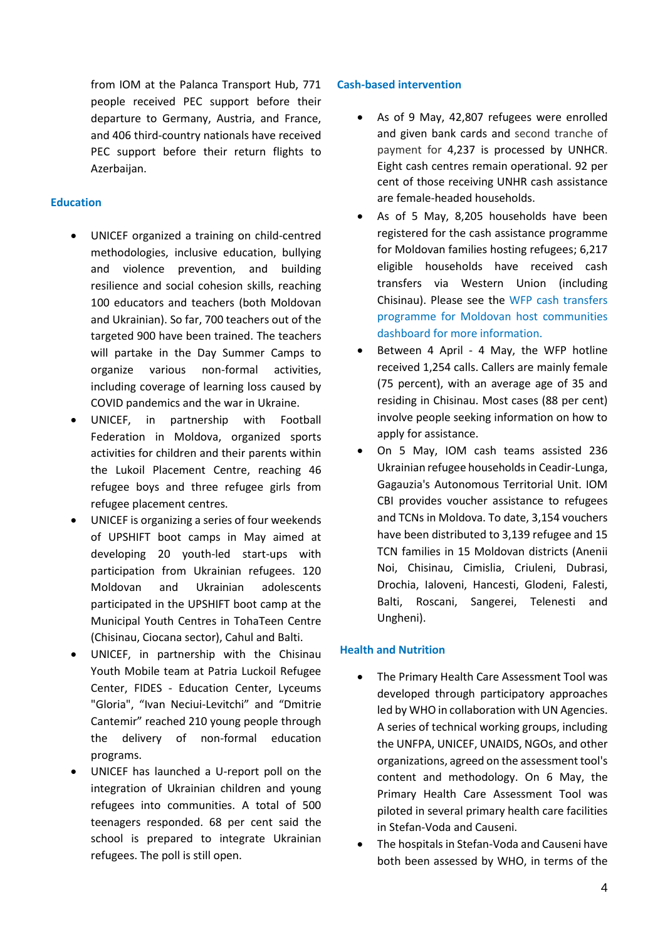from IOM at the Palanca Transport Hub, 771 people received PEC support before their departure to Germany, Austria, and France, and 406 third-country nationals have received PEC support before their return flights to Azerbaijan.

### **Education**

- UNICEF organized a training on child-centred methodologies, inclusive education, bullying and violence prevention, and building resilience and social cohesion skills, reaching 100 educators and teachers (both Moldovan and Ukrainian). So far, 700 teachers out of the targeted 900 have been trained. The teachers will partake in the Day Summer Camps to organize various non-formal activities, including coverage of learning loss caused by COVID pandemics and the war in Ukraine.
- UNICEF, in partnership with Football Federation in Moldova, organized sports activities for children and their parents within the Lukoil Placement Centre, reaching 46 refugee boys and three refugee girls from refugee placement centres.
- UNICEF is organizing a series of four weekends of UPSHIFT boot camps in May aimed at developing 20 youth-led start-ups with participation from Ukrainian refugees. 120 Moldovan and Ukrainian adolescents participated in the UPSHIFT boot camp at the Municipal Youth Centres in TohaTeen Centre (Chisinau, Ciocana sector), Cahul and Balti.
- UNICEF, in partnership with the Chisinau Youth Mobile team at Patria Luckoil Refugee Center, FIDES - Education Center, Lyceums "Gloria", "Ivan Neciui-Levitchi" and "Dmitrie Cantemir" reached 210 young people through the delivery of non-formal education programs.
- UNICEF has launched a U-report poll on the integration of Ukrainian children and young refugees into communities. A total of 500 teenagers responded. 68 per cent said the school is prepared to integrate Ukrainian refugees. The poll is still open.

## **Cash-based intervention**

- As of 9 May, 42,807 refugees were enrolled and given bank cards and second tranche of payment for 4,237 is processed by UNHCR. Eight cash centres remain operational. 92 per cent of those receiving UNHR cash assistance are female-headed households.
- As of 5 May, 8,205 households have been registered for the cash assistance programme for Moldovan families hosting refugees; 6,217 eligible households have received cash transfers via Western Union (including Chisinau). Please see the [WFP cash transfers](https://analytics.wfp.org/t/Public/views/WFPMoldovaCBTProgrammeforMoldovanHostCommunity/ExternalOverview?%3Adisplay_count=n&%3Aembed=y&%3AisGuestRedirectFromVizportal=y&%3Aorigin=viz_share_link&%3AshowAppBanner=false&%3AshowVizHome=n)  [programme for Moldovan host communities](https://analytics.wfp.org/t/Public/views/WFPMoldovaCBTProgrammeforMoldovanHostCommunity/ExternalOverview?%3Adisplay_count=n&%3Aembed=y&%3AisGuestRedirectFromVizportal=y&%3Aorigin=viz_share_link&%3AshowAppBanner=false&%3AshowVizHome=n)  [dashboard for more information.](https://analytics.wfp.org/t/Public/views/WFPMoldovaCBTProgrammeforMoldovanHostCommunity/ExternalOverview?%3Adisplay_count=n&%3Aembed=y&%3AisGuestRedirectFromVizportal=y&%3Aorigin=viz_share_link&%3AshowAppBanner=false&%3AshowVizHome=n)
- Between 4 April 4 May, the WFP hotline received 1,254 calls. Callers are mainly female (75 percent), with an average age of 35 and residing in Chisinau. Most cases (88 per cent) involve people seeking information on how to apply for assistance.
- On 5 May, IOM cash teams assisted 236 Ukrainian refugee households in Ceadir-Lunga, Gagauzia's Autonomous Territorial Unit. IOM CBI provides voucher assistance to refugees and TCNs in Moldova. To date, 3,154 vouchers have been distributed to 3,139 refugee and 15 TCN families in 15 Moldovan districts (Anenii Noi, Chisinau, Cimislia, Criuleni, Dubrasi, Drochia, Ialoveni, Hancesti, Glodeni, Falesti, Balti, Roscani, Sangerei, Telenesti and Ungheni).

## **Health and Nutrition**

- The Primary Health Care Assessment Tool was developed through participatory approaches led by WHO in collaboration with UN Agencies. A series of technical working groups, including the UNFPA, UNICEF, UNAIDS, NGOs, and other organizations, agreed on the assessment tool's content and methodology. On 6 May, the Primary Health Care Assessment Tool was piloted in several primary health care facilities in Stefan-Voda and Causeni.
- The hospitals in Stefan-Voda and Causeni have both been assessed by WHO, in terms of the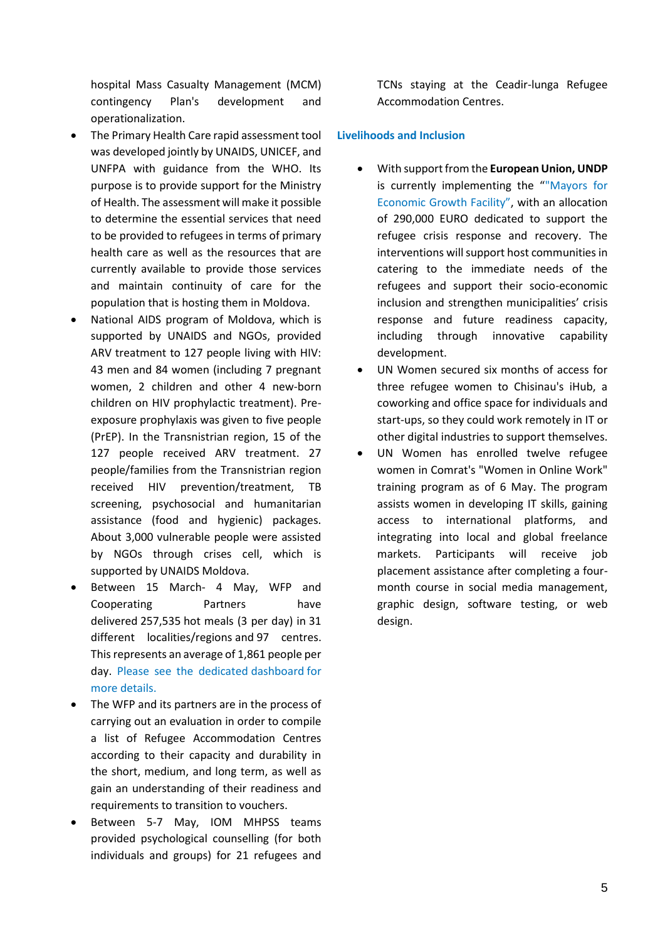hospital Mass Casualty Management (MCM) contingency Plan's development and operationalization.

- The Primary Health Care rapid assessment tool was developed jointly by UNAIDS, UNICEF, and UNFPA with guidance from the WHO. Its purpose is to provide support for the Ministry of Health. The assessment will make it possible to determine the essential services that need to be provided to refugees in terms of primary health care as well as the resources that are currently available to provide those services and maintain continuity of care for the population that is hosting them in Moldova.
- National AIDS program of Moldova, which is supported by UNAIDS and NGOs, provided ARV treatment to 127 people living with HIV: 43 men and 84 women (including 7 pregnant women, 2 children and other 4 new-born children on HIV prophylactic treatment). Preexposure prophylaxis was given to five people (PrEP). In the Transnistrian region, 15 of the 127 people received ARV treatment. 27 people/families from the Transnistrian region received HIV prevention/treatment, TB screening, psychosocial and humanitarian assistance (food and hygienic) packages. About 3,000 vulnerable people were assisted by NGOs through crises cell, which is supported by UNAIDS Moldova.
- Between 15 March- 4 May, WFP and Cooperating Partners have delivered 257,535 hot meals (3 per day) in 31 different localities/regions and 97 centres. This represents an average of 1,861 people per day. Please see the dedicated [dashboard](https://eur03.safelinks.protection.outlook.com/?url=https%3A%2F%2Fanalytics.wfp.org%2Ft%2FPublic%2Fviews%2FMoldovaHotMealCoverageLIVE%2FOnePagerGovPart%3F%253Aembed%3Dy%26%253Aiid%3D1%26%253AisGuestRedirectFromVizportal%3Dy&data=05%7C01%7Cines.parmentier%40wfp.org%7Cff42336f8a4f4fa65d4e08da28f8374d%7C462ad9aed7d94206b87471b1e079776f%7C0%7C0%7C637867343792441307%7CUnknown%7CTWFpbGZsb3d8eyJWIjoiMC4wLjAwMDAiLCJQIjoiV2luMzIiLCJBTiI6Ik1haWwiLCJXVCI6Mn0%3D%7C3000%7C%7C%7C&sdata=5M%2FYwziZAgyobGeXc%2F8ZlynJXSZbeO7HTCPzLlZMrBU%3D&reserved=0) for more details.
- The WFP and its partners are in the process of carrying out an evaluation in order to compile a list of Refugee Accommodation Centres according to their capacity and durability in the short, medium, and long term, as well as gain an understanding of their readiness and requirements to transition to vouchers.
- Between 5-7 May, IOM MHPSS teams provided psychological counselling (for both individuals and groups) for 21 refugees and

TCNs staying at the Ceadir-lunga Refugee Accommodation Centres.

### **Livelihoods and Inclusion**

- With support from the **European Union, UNDP** is currently implementing the "["Mayors for](https://eur02.safelinks.protection.outlook.com/?url=https%3A%2F%2Fwww.md.undp.org%2Fcontent%2Fmoldova%2Fen%2Fhome%2Fprojects%2Fm4eg.html&data=05%7C01%7Cpituscan%40unhcr.org%7Cac31b0d5703743c304e308da2f6ac212%7Ce5c37981666441348a0c6543d2af80be%7C0%7C0%7C637874432823792903%7CUnknown%7CTWFpbGZsb3d8eyJWIjoiMC4wLjAwMDAiLCJQIjoiV2luMzIiLCJBTiI6Ik1haWwiLCJXVCI6Mn0%3D%7C3000%7C%7C%7C&sdata=zONogA6YEpVHr1lmBjNvLJP4FdoQUF86kOZjtLd2PwM%3D&reserved=0)  [Economic Growth Facility"](https://eur02.safelinks.protection.outlook.com/?url=https%3A%2F%2Fwww.md.undp.org%2Fcontent%2Fmoldova%2Fen%2Fhome%2Fprojects%2Fm4eg.html&data=05%7C01%7Cpituscan%40unhcr.org%7Cac31b0d5703743c304e308da2f6ac212%7Ce5c37981666441348a0c6543d2af80be%7C0%7C0%7C637874432823792903%7CUnknown%7CTWFpbGZsb3d8eyJWIjoiMC4wLjAwMDAiLCJQIjoiV2luMzIiLCJBTiI6Ik1haWwiLCJXVCI6Mn0%3D%7C3000%7C%7C%7C&sdata=zONogA6YEpVHr1lmBjNvLJP4FdoQUF86kOZjtLd2PwM%3D&reserved=0), with an allocation of 290,000 EURO dedicated to support the refugee crisis response and recovery. The interventions will support host communities in catering to the immediate needs of the refugees and support their socio-economic inclusion and strengthen municipalities' crisis response and future readiness capacity, including through innovative capability development.
- UN Women secured six months of access for three refugee women to Chisinau's iHub, a coworking and office space for individuals and start-ups, so they could work remotely in IT or other digital industries to support themselves.
- UN Women has enrolled twelve refugee women in Comrat's "Women in Online Work" training program as of 6 May. The program assists women in developing IT skills, gaining access to international platforms, and integrating into local and global freelance markets. Participants will receive job placement assistance after completing a fourmonth course in social media management, graphic design, software testing, or web design.